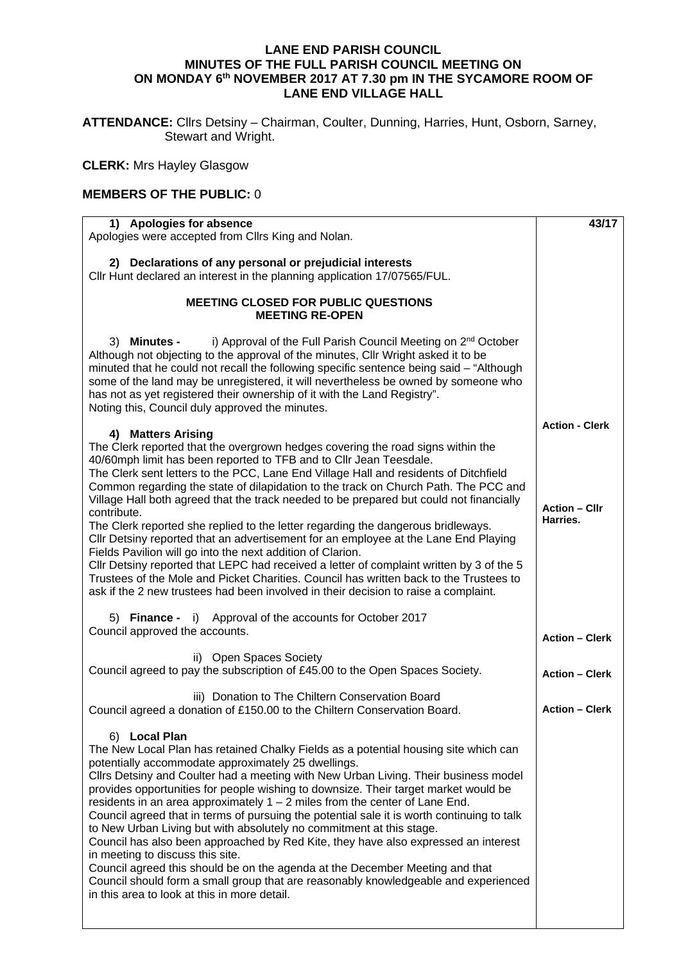## **LANE END PARISH COUNCIL MINUTES OF THE FULL PARISH COUNCIL MEETING ON ON MONDAY 6th NOVEMBER 2017 AT 7.30 pm IN THE SYCAMORE ROOM OF LANE END VILLAGE HALL**

**ATTENDANCE:** Cllrs Detsiny – Chairman, Coulter, Dunning, Harries, Hunt, Osborn, Sarney, Stewart and Wright.

**CLERK:** Mrs Hayley Glasgow

## **MEMBERS OF THE PUBLIC:** 0

| 1) Apologies for absence                                                                                                                                                                                                                                                                                                                                                                                                                                                                                                                                                                                                                                                                                                                                                                                                                                                                                                                          | 43/17                            |
|---------------------------------------------------------------------------------------------------------------------------------------------------------------------------------------------------------------------------------------------------------------------------------------------------------------------------------------------------------------------------------------------------------------------------------------------------------------------------------------------------------------------------------------------------------------------------------------------------------------------------------------------------------------------------------------------------------------------------------------------------------------------------------------------------------------------------------------------------------------------------------------------------------------------------------------------------|----------------------------------|
| Apologies were accepted from Cllrs King and Nolan.                                                                                                                                                                                                                                                                                                                                                                                                                                                                                                                                                                                                                                                                                                                                                                                                                                                                                                |                                  |
| 2) Declarations of any personal or prejudicial interests<br>Cllr Hunt declared an interest in the planning application 17/07565/FUL.                                                                                                                                                                                                                                                                                                                                                                                                                                                                                                                                                                                                                                                                                                                                                                                                              |                                  |
| <b>MEETING CLOSED FOR PUBLIC QUESTIONS</b><br><b>MEETING RE-OPEN</b>                                                                                                                                                                                                                                                                                                                                                                                                                                                                                                                                                                                                                                                                                                                                                                                                                                                                              |                                  |
| i) Approval of the Full Parish Council Meeting on 2 <sup>nd</sup> October<br>3)<br><b>Minutes -</b><br>Although not objecting to the approval of the minutes, Cllr Wright asked it to be<br>minuted that he could not recall the following specific sentence being said - "Although<br>some of the land may be unregistered, it will nevertheless be owned by someone who<br>has not as yet registered their ownership of it with the Land Registry".<br>Noting this, Council duly approved the minutes.                                                                                                                                                                                                                                                                                                                                                                                                                                          |                                  |
| 4) Matters Arising                                                                                                                                                                                                                                                                                                                                                                                                                                                                                                                                                                                                                                                                                                                                                                                                                                                                                                                                | <b>Action - Clerk</b>            |
| The Clerk reported that the overgrown hedges covering the road signs within the<br>40/60mph limit has been reported to TFB and to Cllr Jean Teesdale.<br>The Clerk sent letters to the PCC, Lane End Village Hall and residents of Ditchfield<br>Common regarding the state of dilapidation to the track on Church Path. The PCC and<br>Village Hall both agreed that the track needed to be prepared but could not financially<br>contribute.<br>The Clerk reported she replied to the letter regarding the dangerous bridleways.<br>Cllr Detsiny reported that an advertisement for an employee at the Lane End Playing<br>Fields Pavilion will go into the next addition of Clarion.<br>Cllr Detsiny reported that LEPC had received a letter of complaint written by 3 of the 5<br>Trustees of the Mole and Picket Charities. Council has written back to the Trustees to                                                                     | <b>Action - Cllr</b><br>Harries. |
| ask if the 2 new trustees had been involved in their decision to raise a complaint.                                                                                                                                                                                                                                                                                                                                                                                                                                                                                                                                                                                                                                                                                                                                                                                                                                                               |                                  |
| 5) Finance - i) Approval of the accounts for October 2017<br>Council approved the accounts.                                                                                                                                                                                                                                                                                                                                                                                                                                                                                                                                                                                                                                                                                                                                                                                                                                                       | <b>Action - Clerk</b>            |
| ii) Open Spaces Society<br>Council agreed to pay the subscription of £45.00 to the Open Spaces Society.                                                                                                                                                                                                                                                                                                                                                                                                                                                                                                                                                                                                                                                                                                                                                                                                                                           | <b>Action - Clerk</b>            |
| iii) Donation to The Chiltern Conservation Board<br>Council agreed a donation of £150.00 to the Chiltern Conservation Board.                                                                                                                                                                                                                                                                                                                                                                                                                                                                                                                                                                                                                                                                                                                                                                                                                      | <b>Action - Clerk</b>            |
| 6) Local Plan<br>The New Local Plan has retained Chalky Fields as a potential housing site which can<br>potentially accommodate approximately 25 dwellings.<br>Cllrs Detsiny and Coulter had a meeting with New Urban Living. Their business model<br>provides opportunities for people wishing to downsize. Their target market would be<br>residents in an area approximately $1 - 2$ miles from the center of Lane End.<br>Council agreed that in terms of pursuing the potential sale it is worth continuing to talk<br>to New Urban Living but with absolutely no commitment at this stage.<br>Council has also been approached by Red Kite, they have also expressed an interest<br>in meeting to discuss this site.<br>Council agreed this should be on the agenda at the December Meeting and that<br>Council should form a small group that are reasonably knowledgeable and experienced<br>in this area to look at this in more detail. |                                  |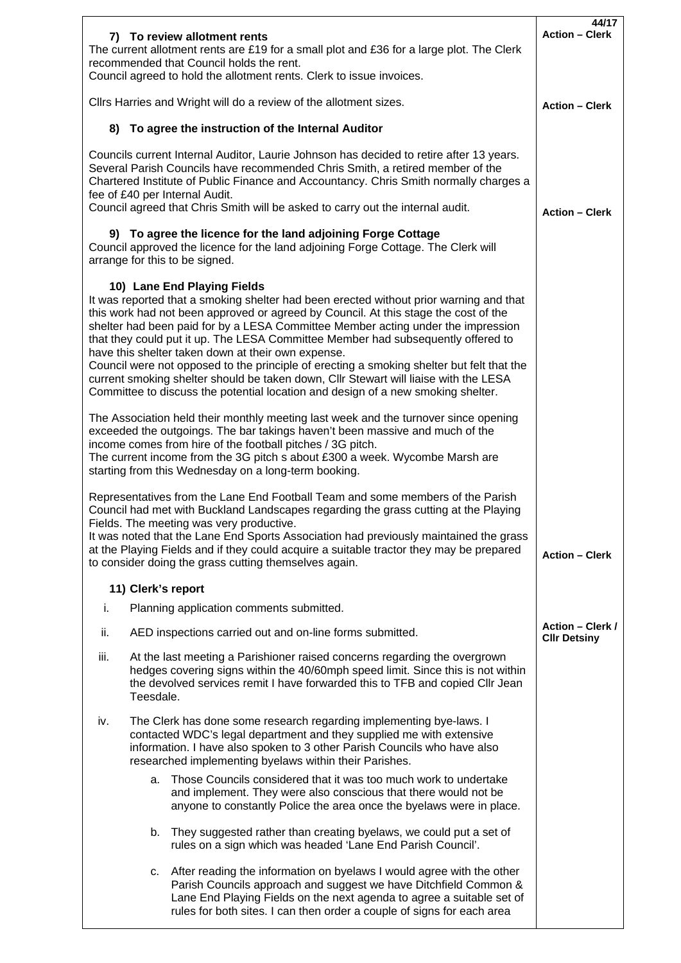| 7) To review allotment rents                                                                                                                                                                                                                                                                                                                                                                                                                                                                                                                                                                                                                                                                                        | 44/17<br><b>Action - Clerk</b>          |
|---------------------------------------------------------------------------------------------------------------------------------------------------------------------------------------------------------------------------------------------------------------------------------------------------------------------------------------------------------------------------------------------------------------------------------------------------------------------------------------------------------------------------------------------------------------------------------------------------------------------------------------------------------------------------------------------------------------------|-----------------------------------------|
| The current allotment rents are £19 for a small plot and £36 for a large plot. The Clerk<br>recommended that Council holds the rent.<br>Council agreed to hold the allotment rents. Clerk to issue invoices.                                                                                                                                                                                                                                                                                                                                                                                                                                                                                                        |                                         |
| Cllrs Harries and Wright will do a review of the allotment sizes.                                                                                                                                                                                                                                                                                                                                                                                                                                                                                                                                                                                                                                                   | <b>Action - Clerk</b>                   |
| 8) To agree the instruction of the Internal Auditor                                                                                                                                                                                                                                                                                                                                                                                                                                                                                                                                                                                                                                                                 |                                         |
| Councils current Internal Auditor, Laurie Johnson has decided to retire after 13 years.<br>Several Parish Councils have recommended Chris Smith, a retired member of the<br>Chartered Institute of Public Finance and Accountancy. Chris Smith normally charges a<br>fee of £40 per Internal Audit.<br>Council agreed that Chris Smith will be asked to carry out the internal audit.                                                                                                                                                                                                                                                                                                                               | <b>Action - Clerk</b>                   |
| 9) To agree the licence for the land adjoining Forge Cottage<br>Council approved the licence for the land adjoining Forge Cottage. The Clerk will<br>arrange for this to be signed.                                                                                                                                                                                                                                                                                                                                                                                                                                                                                                                                 |                                         |
| 10) Lane End Playing Fields<br>It was reported that a smoking shelter had been erected without prior warning and that<br>this work had not been approved or agreed by Council. At this stage the cost of the<br>shelter had been paid for by a LESA Committee Member acting under the impression<br>that they could put it up. The LESA Committee Member had subsequently offered to<br>have this shelter taken down at their own expense.<br>Council were not opposed to the principle of erecting a smoking shelter but felt that the<br>current smoking shelter should be taken down, Cllr Stewart will liaise with the LESA<br>Committee to discuss the potential location and design of a new smoking shelter. |                                         |
| The Association held their monthly meeting last week and the turnover since opening<br>exceeded the outgoings. The bar takings haven't been massive and much of the<br>income comes from hire of the football pitches / 3G pitch.<br>The current income from the 3G pitch s about £300 a week. Wycombe Marsh are<br>starting from this Wednesday on a long-term booking.                                                                                                                                                                                                                                                                                                                                            |                                         |
| Representatives from the Lane End Football Team and some members of the Parish<br>Council had met with Buckland Landscapes regarding the grass cutting at the Playing<br>Fields. The meeting was very productive.<br>It was noted that the Lane End Sports Association had previously maintained the grass<br>at the Playing Fields and if they could acquire a suitable tractor they may be prepared<br>to consider doing the grass cutting themselves again.                                                                                                                                                                                                                                                      | <b>Action - Clerk</b>                   |
| 11) Clerk's report                                                                                                                                                                                                                                                                                                                                                                                                                                                                                                                                                                                                                                                                                                  |                                         |
| i.<br>Planning application comments submitted.                                                                                                                                                                                                                                                                                                                                                                                                                                                                                                                                                                                                                                                                      |                                         |
| ii.<br>AED inspections carried out and on-line forms submitted.                                                                                                                                                                                                                                                                                                                                                                                                                                                                                                                                                                                                                                                     | Action - Clerk /<br><b>CIIr Detsiny</b> |
| At the last meeting a Parishioner raised concerns regarding the overgrown<br>iii.<br>hedges covering signs within the 40/60mph speed limit. Since this is not within<br>the devolved services remit I have forwarded this to TFB and copied Cllr Jean<br>Teesdale.                                                                                                                                                                                                                                                                                                                                                                                                                                                  |                                         |
| The Clerk has done some research regarding implementing bye-laws. I<br>iv.<br>contacted WDC's legal department and they supplied me with extensive<br>information. I have also spoken to 3 other Parish Councils who have also<br>researched implementing byelaws within their Parishes.                                                                                                                                                                                                                                                                                                                                                                                                                            |                                         |
| Those Councils considered that it was too much work to undertake<br>a.<br>and implement. They were also conscious that there would not be<br>anyone to constantly Police the area once the byelaws were in place.                                                                                                                                                                                                                                                                                                                                                                                                                                                                                                   |                                         |
| b. They suggested rather than creating byelaws, we could put a set of<br>rules on a sign which was headed 'Lane End Parish Council'.                                                                                                                                                                                                                                                                                                                                                                                                                                                                                                                                                                                |                                         |
| c. After reading the information on byelaws I would agree with the other<br>Parish Councils approach and suggest we have Ditchfield Common &<br>Lane End Playing Fields on the next agenda to agree a suitable set of<br>rules for both sites. I can then order a couple of signs for each area                                                                                                                                                                                                                                                                                                                                                                                                                     |                                         |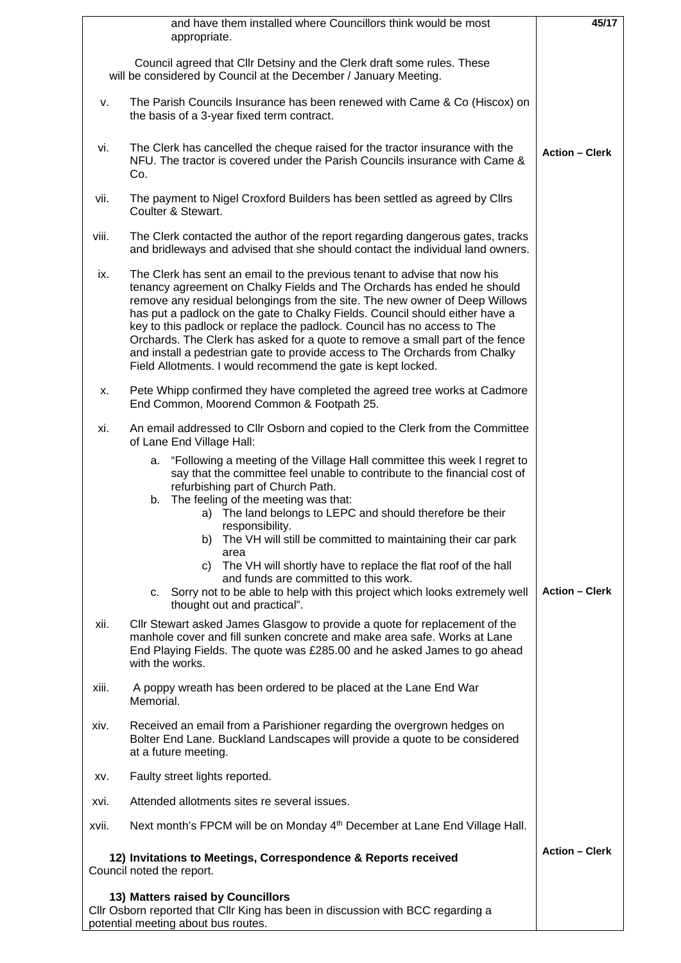|       | and have them installed where Councillors think would be most<br>appropriate.                                                                                                                                                                                                                                                                                                                                                                                                                                                                                                                                                         | 45/17                 |
|-------|---------------------------------------------------------------------------------------------------------------------------------------------------------------------------------------------------------------------------------------------------------------------------------------------------------------------------------------------------------------------------------------------------------------------------------------------------------------------------------------------------------------------------------------------------------------------------------------------------------------------------------------|-----------------------|
|       | Council agreed that Cllr Detsiny and the Clerk draft some rules. These<br>will be considered by Council at the December / January Meeting.                                                                                                                                                                                                                                                                                                                                                                                                                                                                                            |                       |
| ν.    | The Parish Councils Insurance has been renewed with Came & Co (Hiscox) on<br>the basis of a 3-year fixed term contract.                                                                                                                                                                                                                                                                                                                                                                                                                                                                                                               |                       |
| vi.   | The Clerk has cancelled the cheque raised for the tractor insurance with the<br>NFU. The tractor is covered under the Parish Councils insurance with Came &<br>Co.                                                                                                                                                                                                                                                                                                                                                                                                                                                                    | <b>Action - Clerk</b> |
| vii.  | The payment to Nigel Croxford Builders has been settled as agreed by Cllrs<br>Coulter & Stewart.                                                                                                                                                                                                                                                                                                                                                                                                                                                                                                                                      |                       |
| viii. | The Clerk contacted the author of the report regarding dangerous gates, tracks<br>and bridleways and advised that she should contact the individual land owners.                                                                                                                                                                                                                                                                                                                                                                                                                                                                      |                       |
| ix.   | The Clerk has sent an email to the previous tenant to advise that now his<br>tenancy agreement on Chalky Fields and The Orchards has ended he should<br>remove any residual belongings from the site. The new owner of Deep Willows<br>has put a padlock on the gate to Chalky Fields. Council should either have a<br>key to this padlock or replace the padlock. Council has no access to The<br>Orchards. The Clerk has asked for a quote to remove a small part of the fence<br>and install a pedestrian gate to provide access to The Orchards from Chalky<br>Field Allotments. I would recommend the gate is kept locked.       |                       |
| х.    | Pete Whipp confirmed they have completed the agreed tree works at Cadmore<br>End Common, Moorend Common & Footpath 25.                                                                                                                                                                                                                                                                                                                                                                                                                                                                                                                |                       |
| xi.   | An email addressed to Cllr Osborn and copied to the Clerk from the Committee<br>of Lane End Village Hall:                                                                                                                                                                                                                                                                                                                                                                                                                                                                                                                             |                       |
|       | a. "Following a meeting of the Village Hall committee this week I regret to<br>say that the committee feel unable to contribute to the financial cost of<br>refurbishing part of Church Path.<br>The feeling of the meeting was that:<br>b.<br>a) The land belongs to LEPC and should therefore be their<br>responsibility.<br>b) The VH will still be committed to maintaining their car park<br>area<br>The VH will shortly have to replace the flat roof of the hall<br>C)<br>and funds are committed to this work.<br>c. Sorry not to be able to help with this project which looks extremely well<br>thought out and practical". | <b>Action - Clerk</b> |
| xii.  | CIIr Stewart asked James Glasgow to provide a quote for replacement of the<br>manhole cover and fill sunken concrete and make area safe. Works at Lane<br>End Playing Fields. The quote was £285.00 and he asked James to go ahead<br>with the works.                                                                                                                                                                                                                                                                                                                                                                                 |                       |
| xiii. | A poppy wreath has been ordered to be placed at the Lane End War<br>Memorial.                                                                                                                                                                                                                                                                                                                                                                                                                                                                                                                                                         |                       |
| xiv.  | Received an email from a Parishioner regarding the overgrown hedges on<br>Bolter End Lane. Buckland Landscapes will provide a quote to be considered<br>at a future meeting.                                                                                                                                                                                                                                                                                                                                                                                                                                                          |                       |
| XV.   | Faulty street lights reported.                                                                                                                                                                                                                                                                                                                                                                                                                                                                                                                                                                                                        |                       |
| xvi.  | Attended allotments sites re several issues.                                                                                                                                                                                                                                                                                                                                                                                                                                                                                                                                                                                          |                       |
| xvii. | Next month's FPCM will be on Monday 4 <sup>th</sup> December at Lane End Village Hall.                                                                                                                                                                                                                                                                                                                                                                                                                                                                                                                                                |                       |
|       | 12) Invitations to Meetings, Correspondence & Reports received<br>Council noted the report.                                                                                                                                                                                                                                                                                                                                                                                                                                                                                                                                           | <b>Action – Clerk</b> |
|       | 13) Matters raised by Councillors<br>Cllr Osborn reported that Cllr King has been in discussion with BCC regarding a<br>potential meeting about bus routes.                                                                                                                                                                                                                                                                                                                                                                                                                                                                           |                       |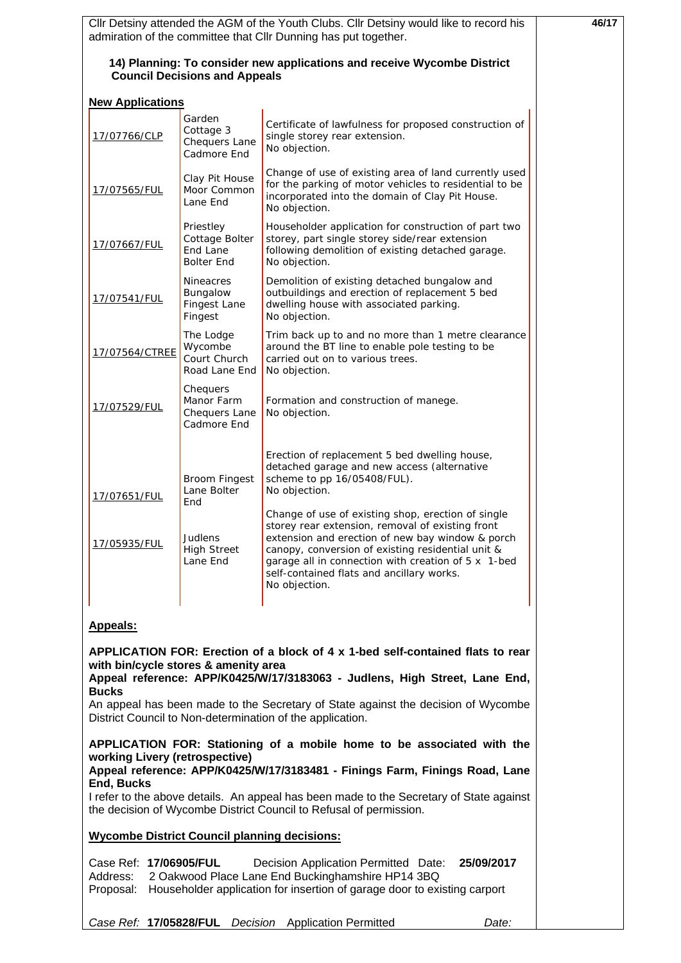|                                                      |                                                              | CIIr Detsiny attended the AGM of the Youth Clubs. CIIr Detsiny would like to record his<br>admiration of the committee that CIIr Dunning has put together.                                                                                                                                                                           | 46/17 |
|------------------------------------------------------|--------------------------------------------------------------|--------------------------------------------------------------------------------------------------------------------------------------------------------------------------------------------------------------------------------------------------------------------------------------------------------------------------------------|-------|
|                                                      | <b>Council Decisions and Appeals</b>                         | 14) Planning: To consider new applications and receive Wycombe District                                                                                                                                                                                                                                                              |       |
|                                                      |                                                              |                                                                                                                                                                                                                                                                                                                                      |       |
| <b>New Applications</b><br>17/07766/CLP              | Garden<br>Cottage 3<br>Chequers Lane<br>Cadmore End          | Certificate of lawfulness for proposed construction of<br>single storey rear extension.<br>No objection.                                                                                                                                                                                                                             |       |
| 17/07565/FUL                                         | Clay Pit House<br>Moor Common<br>Lane End                    | Change of use of existing area of land currently used<br>for the parking of motor vehicles to residential to be<br>incorporated into the domain of Clay Pit House.<br>No objection.                                                                                                                                                  |       |
| 17/07667/FUL                                         | Priestley<br>Cottage Bolter<br>End Lane<br><b>Bolter End</b> | Householder application for construction of part two<br>storey, part single storey side/rear extension<br>following demolition of existing detached garage.<br>No objection.                                                                                                                                                         |       |
| 17/07541/FUL                                         | <b>Nineacres</b><br>Bungalow<br>Fingest Lane<br>Fingest      | Demolition of existing detached bungalow and<br>outbuildings and erection of replacement 5 bed<br>dwelling house with associated parking.<br>No objection.                                                                                                                                                                           |       |
| 17/07564/CTREE                                       | The Lodge<br>Wycombe<br>Court Church<br>Road Lane End        | Trim back up to and no more than 1 metre clearance<br>around the BT line to enable pole testing to be<br>carried out on to various trees.<br>No objection.                                                                                                                                                                           |       |
| 17/07529/FUL                                         | Chequers<br>Manor Farm<br>Chequers Lane<br>Cadmore End       | Formation and construction of manege.<br>No objection.                                                                                                                                                                                                                                                                               |       |
| 17/07651/FUL                                         | <b>Broom Fingest</b><br>Lane Bolter<br>End                   | Erection of replacement 5 bed dwelling house,<br>detached garage and new access (alternative<br>scheme to pp 16/05408/FUL).<br>No objection.                                                                                                                                                                                         |       |
| 17/05935/FUL                                         | Judlens<br><b>High Street</b><br>Lane End                    | Change of use of existing shop, erection of single<br>storey rear extension, removal of existing front<br>extension and erection of new bay window & porch<br>canopy, conversion of existing residential unit &<br>garage all in connection with creation of 5 x 1-bed<br>self-contained flats and ancillary works.<br>No objection. |       |
| <b>Appeals:</b>                                      |                                                              |                                                                                                                                                                                                                                                                                                                                      |       |
| with bin/cycle stores & amenity area<br><b>Bucks</b> |                                                              | APPLICATION FOR: Erection of a block of 4 x 1-bed self-contained flats to rear<br>Appeal reference: APP/K0425/W/17/3183063 - Judlens, High Street, Lane End,<br>An appeal has been made to the Secretary of State against the decision of Wycombe<br>District Council to Non-determination of the application.                       |       |
| working Livery (retrospective)<br><b>End, Bucks</b>  |                                                              | APPLICATION FOR: Stationing of a mobile home to be associated with the<br>Appeal reference: APP/K0425/W/17/3183481 - Finings Farm, Finings Road, Lane<br>I refer to the above details. An appeal has been made to the Secretary of State against<br>the decision of Wycombe District Council to Refusal of permission.               |       |
| <b>Wycombe District Council planning decisions:</b>  |                                                              |                                                                                                                                                                                                                                                                                                                                      |       |
| Case Ref: 17/06905/FUL<br>Address:<br>Proposal:      |                                                              | Decision Application Permitted Date:<br>25/09/2017<br>2 Oakwood Place Lane End Buckinghamshire HP14 3BQ<br>Householder application for insertion of garage door to existing carport                                                                                                                                                  |       |
|                                                      |                                                              | Case Ref: 17/05828/FUL Decision Application Permitted<br>Date:                                                                                                                                                                                                                                                                       |       |